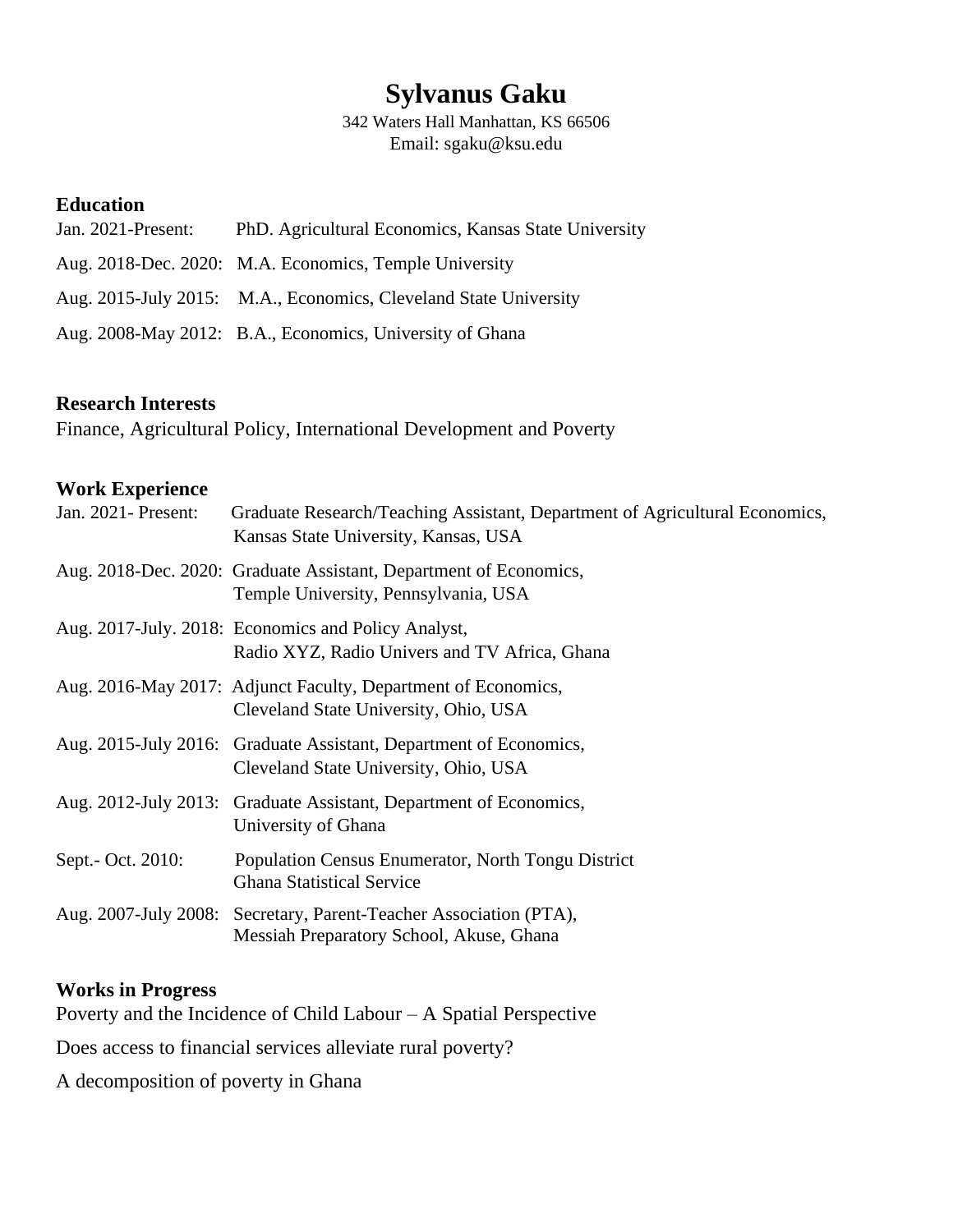# **Sylvanus Gaku**

342 Waters Hall Manhattan, KS 66506 Email: sgaku@ksu.edu

# **Education**

| Jan. 2021-Present: | PhD. Agricultural Economics, Kansas State University             |
|--------------------|------------------------------------------------------------------|
|                    | Aug. 2018-Dec. 2020: M.A. Economics, Temple University           |
|                    | Aug. 2015-July 2015: M.A., Economics, Cleveland State University |
|                    | Aug. 2008-May 2012: B.A., Economics, University of Ghana         |

# **Research Interests**

Finance, Agricultural Policy, International Development and Poverty

### **Work Experience**

| Jan. 2021 - Present: | Graduate Research/Teaching Assistant, Department of Agricultural Economics,<br>Kansas State University, Kansas, USA |
|----------------------|---------------------------------------------------------------------------------------------------------------------|
|                      | Aug. 2018-Dec. 2020: Graduate Assistant, Department of Economics,<br>Temple University, Pennsylvania, USA           |
|                      | Aug. 2017-July. 2018: Economics and Policy Analyst,<br>Radio XYZ, Radio Univers and TV Africa, Ghana                |
|                      | Aug. 2016-May 2017: Adjunct Faculty, Department of Economics,<br>Cleveland State University, Ohio, USA              |
|                      | Aug. 2015-July 2016: Graduate Assistant, Department of Economics,<br>Cleveland State University, Ohio, USA          |
|                      | Aug. 2012-July 2013: Graduate Assistant, Department of Economics,<br>University of Ghana                            |
| Sept.- Oct. 2010:    | Population Census Enumerator, North Tongu District<br><b>Ghana Statistical Service</b>                              |
|                      | Aug. 2007-July 2008: Secretary, Parent-Teacher Association (PTA),<br>Messiah Preparatory School, Akuse, Ghana       |

#### **Works in Progress**

Poverty and the Incidence of Child Labour – A Spatial Perspective

Does access to financial services alleviate rural poverty?

A decomposition of poverty in Ghana